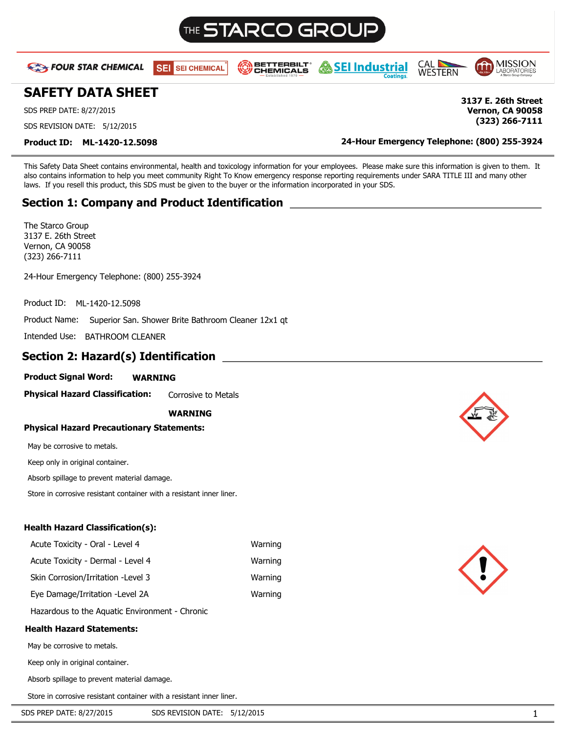# STARCO GR(

**BETTERBILT** 

**CHEMICALS** 





**Vernon, CA 90058 (323) 266-7111**

## **SAFETY DATA SHEET 3137 E. 26th Street**

**EXT FOUR STAR CHEMICAL** 

SDS PREP DATE: 8/27/2015

SDS REVISION DATE: 5/12/2015

**Product ID: ML-1420-12.5098 24-Hour Emergency Telephone: (800) 255-3924**

This Safety Data Sheet contains environmental, health and toxicology information for your employees. Please make sure this information is given to them. It also contains information to help you meet community Right To Know emergency response reporting requirements under SARA TITLE III and many other laws. If you resell this product, this SDS must be given to the buyer or the information incorporated in your SDS.

## **Section 1: Company and Product Identification**

**SEI SEI CHEMICAL** 

The Starco Group 3137 E. 26th Street Vernon, CA 90058 (323) 266-7111

24-Hour Emergency Telephone: (800) 255-3924

Product ID: ML-1420-12.5098

Product Name: Superior San. Shower Brite Bathroom Cleaner 12x1 qt

Intended Use: BATHROOM CLEANER

## **Section 2: Hazard(s) Identification**

## **Product Signal Word: WARNING**

**Physical Hazard Classification:** Corrosive to Metals

## **WARNING**

## **Physical Hazard Precautionary Statements:**

May be corrosive to metals.

Keep only in original container.

Absorb spillage to prevent material damage.

Store in corrosive resistant container with a resistant inner liner.

## **Health Hazard Classification(s):**

| Acute Toxicity - Oral - Level 4     | Warning |
|-------------------------------------|---------|
| Acute Toxicity - Dermal - Level 4   | Warning |
| Skin Corrosion/Irritation - Level 3 | Warning |
| Eye Damage/Irritation - Level 2A    | Warning |
|                                     |         |

Hazardous to the Aquatic Environment - Chronic

## **Health Hazard Statements:**

May be corrosive to metals.

Keep only in original container.

Absorb spillage to prevent material damage.

Store in corrosive resistant container with a resistant inner liner.





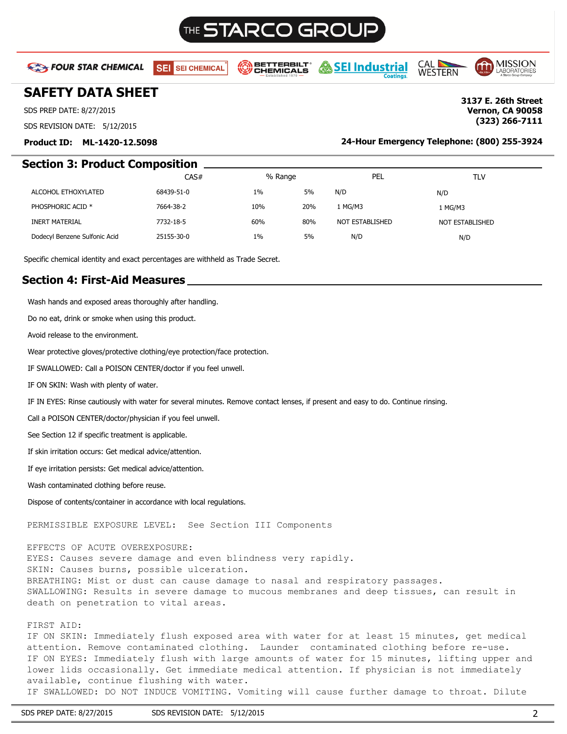# THE **STARCO GROL**

**EXT FOUR STAR CHEMICAL** 

SEI SEI CHEMICAL

**BETTERBILT** CHEMICALS

*-* SEI Industrial

**CAL** MISSION **WESTERN** 

> **Vernon, CA 90058 (323) 266-7111**

## **SAFETY DATA SHEET 3137 E. 26th Street**

SDS PREP DATE: 8/27/2015

SDS REVISION DATE: 5/12/2015

## **Product ID: ML-1420-12.5098 24-Hour Emergency Telephone: (800) 255-3924**

## **Section 3: Product Composition**

|                               | CAS#       | % Range |     | PEL             | TLV             |
|-------------------------------|------------|---------|-----|-----------------|-----------------|
| ALCOHOL ETHOXYLATED           | 68439-51-0 | 1%      | 5%  | N/D             | N/D             |
| PHOSPHORIC ACID <sup>*</sup>  | 7664-38-2  | 10%     | 20% | 1 MG/M3         | 1 MG/M3         |
| <b>INERT MATERIAL</b>         | 7732-18-5  | 60%     | 80% | NOT ESTABLISHED | NOT ESTABLISHED |
| Dodecyl Benzene Sulfonic Acid | 25155-30-0 | $1\%$   | 5%  | N/D             | N/D             |

Specific chemical identity and exact percentages are withheld as Trade Secret.

## **Section 4: First-Aid Measures**

Wash hands and exposed areas thoroughly after handling.

Do no eat, drink or smoke when using this product.

Avoid release to the environment.

Wear protective gloves/protective clothing/eye protection/face protection.

IF SWALLOWED: Call a POISON CENTER/doctor if you feel unwell.

IF ON SKIN: Wash with plenty of water.

IF IN EYES: Rinse cautiously with water for several minutes. Remove contact lenses, if present and easy to do. Continue rinsing.

Call a POISON CENTER/doctor/physician if you feel unwell.

See Section 12 if specific treatment is applicable.

If skin irritation occurs: Get medical advice/attention.

If eye irritation persists: Get medical advice/attention.

Wash contaminated clothing before reuse.

Dispose of contents/container in accordance with local regulations.

PERMISSIBLE EXPOSURE LEVEL: See Section III Components

EFFECTS OF ACUTE OVEREXPOSURE:

EYES: Causes severe damage and even blindness very rapidly. SKIN: Causes burns, possible ulceration. BREATHING: Mist or dust can cause damage to nasal and respiratory passages. SWALLOWING: Results in severe damage to mucous membranes and deep tissues, can result in death on penetration to vital areas.

### FIRST AID:

IF ON SKIN: Immediately flush exposed area with water for at least 15 minutes, get medical attention. Remove contaminated clothing. Launder contaminated clothing before re-use. IF ON EYES: Immediately flush with large amounts of water for 15 minutes, lifting upper and lower lids occasionally. Get immediate medical attention. If physician is not immediately available, continue flushing with water. IF SWALLOWED: DO NOT INDUCE VOMITING. Vomiting will cause further damage to throat. Dilute

SDS PREP DATE: 8/27/2015 SDS REVISION DATE: 5/12/2015 309 2014 2015 2016 2017 2018 2019 2020 2020 2020 2020 20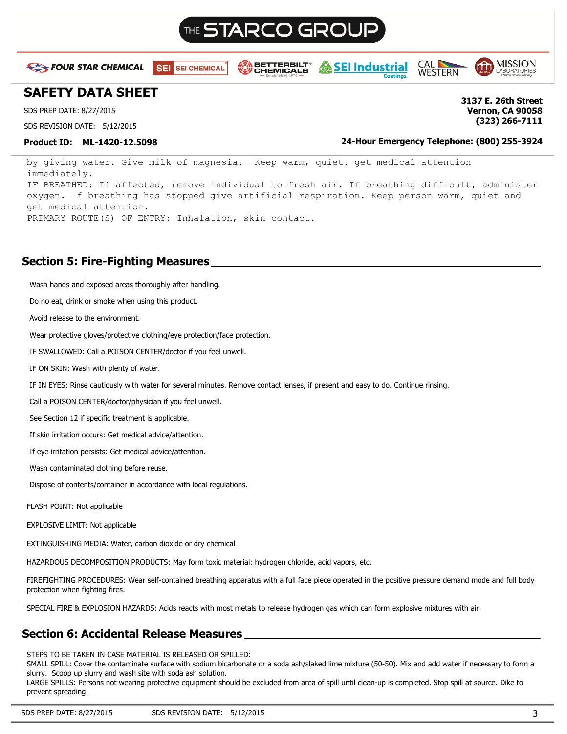

**BETTERBILT** 

CHEMICALS

SEI SEI CHEMICAL

**EXT FOUR STAR CHEMICAL** 

**SAFETY DATA SHEET 3137 E. 26th Street**

SDS PREP DATE: 8/27/2015

SDS REVISION DATE: 5/12/2015

**Product ID: ML-1420-12.5098 24-Hour Emergency Telephone: (800) 255-3924**

**CAL** 

**WESTERN** 

by giving water. Give milk of magnesia. Keep warm, quiet. get medical attention immediately. IF BREATHED: If affected, remove individual to fresh air. If breathing difficult, administer oxygen. If breathing has stopped give artificial respiration. Keep person warm, quiet and get medical attention. PRIMARY ROUTE(S) OF ENTRY: Inhalation, skin contact.

## **Section 5: Fire-Fighting Measures**

Wash hands and exposed areas thoroughly after handling.

Do no eat, drink or smoke when using this product.

Avoid release to the environment.

Wear protective gloves/protective clothing/eye protection/face protection.

IF SWALLOWED: Call a POISON CENTER/doctor if you feel unwell.

IF ON SKIN: Wash with plenty of water.

IF IN EYES: Rinse cautiously with water for several minutes. Remove contact lenses, if present and easy to do. Continue rinsing.

Call a POISON CENTER/doctor/physician if you feel unwell.

See Section 12 if specific treatment is applicable.

If skin irritation occurs: Get medical advice/attention.

If eye irritation persists: Get medical advice/attention.

Wash contaminated clothing before reuse.

Dispose of contents/container in accordance with local regulations.

FLASH POINT: Not applicable

EXPLOSIVE LIMIT: Not applicable

EXTINGUISHING MEDIA: Water, carbon dioxide or dry chemical

HAZARDOUS DECOMPOSITION PRODUCTS: May form toxic material: hydrogen chloride, acid vapors, etc.

FIREFIGHTING PROCEDURES: Wear self-contained breathing apparatus with a full face piece operated in the positive pressure demand mode and full body protection when fighting fires.

SPECIAL FIRE & EXPLOSION HAZARDS: Acids reacts with most metals to release hydrogen gas which can form explosive mixtures with air.

## **Section 6: Accidental Release Measures**

STEPS TO BE TAKEN IN CASE MATERIAL IS RELEASED OR SPILLED:

SMALL SPILL: Cover the contaminate surface with sodium bicarbonate or a soda ash/slaked lime mixture (50-50). Mix and add water if necessary to form a slurry. Scoop up slurry and wash site with soda ash solution.

LARGE SPILLS: Persons not wearing protective equipment should be excluded from area of spill until clean-up is completed. Stop spill at source. Dike to prevent spreading.

**Vernon, CA 90058 (323) 266-7111**

MISSION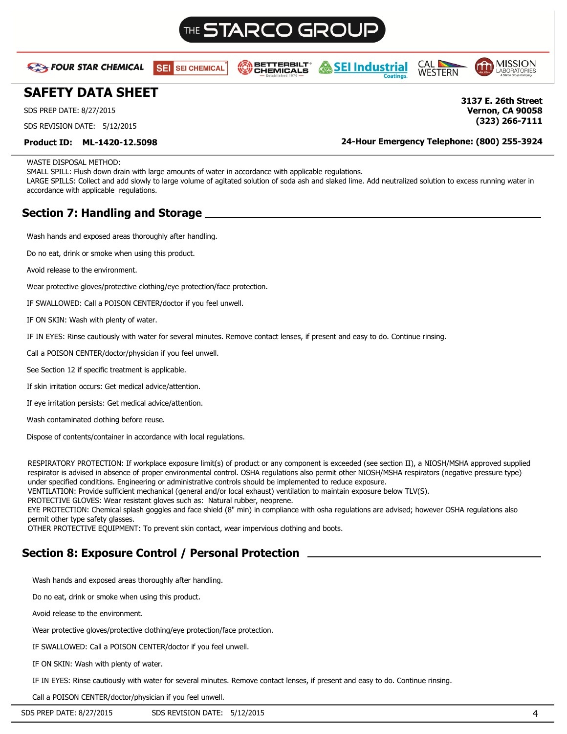# STARCO GRC

**BETTERBILT** 

CHEMICALS





**Vernon, CA 90058 (323) 266-7111**

## **SAFETY DATA SHEET 3137 E. 26th Street**

**EXA FOUR STAR CHEMICAL** 

SDS PREP DATE: 8/27/2015

SDS REVISION DATE: 5/12/2015

**Product ID: ML-1420-12.5098 24-Hour Emergency Telephone: (800) 255-3924**

WASTE DISPOSAL METHOD:

SMALL SPILL: Flush down drain with large amounts of water in accordance with applicable regulations.

SEI SEI CHEMICAL

LARGE SPILLS: Collect and add slowly to large volume of agitated solution of soda ash and slaked lime. Add neutralized solution to excess running water in accordance with applicable regulations.

## **Section 7: Handling and Storage**

Wash hands and exposed areas thoroughly after handling.

Do no eat, drink or smoke when using this product.

Avoid release to the environment.

Wear protective gloves/protective clothing/eye protection/face protection.

IF SWALLOWED: Call a POISON CENTER/doctor if you feel unwell.

IF ON SKIN: Wash with plenty of water.

IF IN EYES: Rinse cautiously with water for several minutes. Remove contact lenses, if present and easy to do. Continue rinsing.

Call a POISON CENTER/doctor/physician if you feel unwell.

See Section 12 if specific treatment is applicable.

If skin irritation occurs: Get medical advice/attention.

If eye irritation persists: Get medical advice/attention.

Wash contaminated clothing before reuse.

Dispose of contents/container in accordance with local regulations.

RESPIRATORY PROTECTION: If workplace exposure limit(s) of product or any component is exceeded (see section II), a NIOSH/MSHA approved supplied respirator is advised in absence of proper environmental control. OSHA regulations also permit other NIOSH/MSHA respirators (negative pressure type) under specified conditions. Engineering or administrative controls should be implemented to reduce exposure.

VENTILATION: Provide sufficient mechanical (general and/or local exhaust) ventilation to maintain exposure below TLV(S).

PROTECTIVE GLOVES: Wear resistant gloves such as: Natural rubber, neoprene.

EYE PROTECTION: Chemical splash goggles and face shield (8" min) in compliance with osha regulations are advised; however OSHA regulations also permit other type safety glasses.

OTHER PROTECTIVE EQUIPMENT: To prevent skin contact, wear impervious clothing and boots.

## **Section 8: Exposure Control / Personal Protection**

Wash hands and exposed areas thoroughly after handling.

Do no eat, drink or smoke when using this product.

Avoid release to the environment.

Wear protective gloves/protective clothing/eye protection/face protection.

IF SWALLOWED: Call a POISON CENTER/doctor if you feel unwell.

IF ON SKIN: Wash with plenty of water.

IF IN EYES: Rinse cautiously with water for several minutes. Remove contact lenses, if present and easy to do. Continue rinsing.

Call a POISON CENTER/doctor/physician if you feel unwell.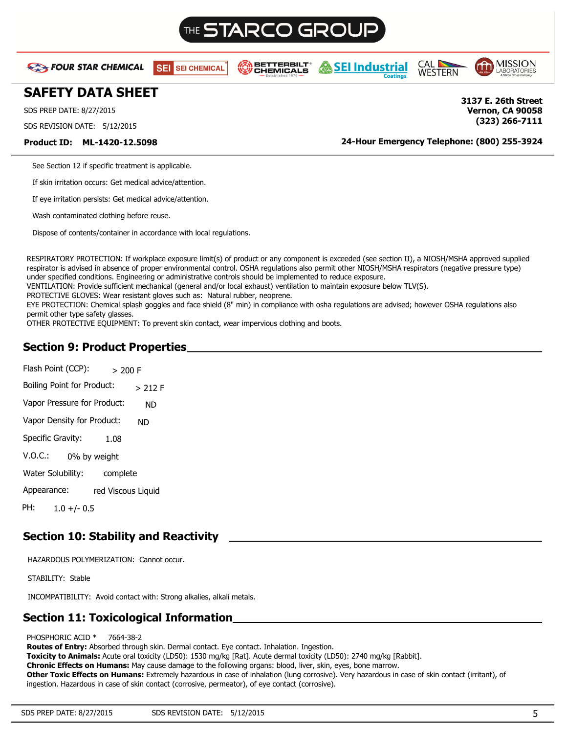# THE **STARCO GROI**

**EXA FOUR STAR CHEMICAL** 

SEI SEI CHEMICAL





## **SAFETY DATA SHEET 3137 E. 26th Street**

SDS PREP DATE: 8/27/2015

SDS REVISION DATE: 5/12/2015

**Product ID: ML-1420-12.5098 24-Hour Emergency Telephone: (800) 255-3924**

**(323) 266-7111**

**Vernon, CA 90058**

See Section 12 if specific treatment is applicable.

If skin irritation occurs: Get medical advice/attention.

If eye irritation persists: Get medical advice/attention.

Wash contaminated clothing before reuse.

Dispose of contents/container in accordance with local regulations.

RESPIRATORY PROTECTION: If workplace exposure limit(s) of product or any component is exceeded (see section II), a NIOSH/MSHA approved supplied respirator is advised in absence of proper environmental control. OSHA regulations also permit other NIOSH/MSHA respirators (negative pressure type) under specified conditions. Engineering or administrative controls should be implemented to reduce exposure.

VENTILATION: Provide sufficient mechanical (general and/or local exhaust) ventilation to maintain exposure below TLV(S).

PROTECTIVE GLOVES: Wear resistant gloves such as: Natural rubber, neoprene.

EYE PROTECTION: Chemical splash goggles and face shield (8" min) in compliance with osha regulations are advised; however OSHA regulations also permit other type safety glasses.

OTHER PROTECTIVE EQUIPMENT: To prevent skin contact, wear impervious clothing and boots.

## **Section 9: Product Properties**

Flash Point (CCP): Boiling Point for Product: Vapor Pressure for Product: Vapor Density for Product: Specific Gravity: V.O.C.: Water Solubility: Appearance:  $> 200 F$ > 212 F ND ND 1.08 0% by weight complete red Viscous Liquid PH: 1.0 +/- 0.5

## **Section 10: Stability and Reactivity**

HAZARDOUS POLYMERIZATION: Cannot occur.

STABILITY: Stable

INCOMPATIBILITY: Avoid contact with: Strong alkalies, alkali metals.

## **Section 11: Toxicological Information**

### PHOSPHORIC ACID \* 7664-38-2

**Routes of Entry:** Absorbed through skin. Dermal contact. Eye contact. Inhalation. Ingestion.

**Toxicity to Animals:** Acute oral toxicity (LD50): 1530 mg/kg [Rat]. Acute dermal toxicity (LD50): 2740 mg/kg [Rabbit].

**Chronic Effects on Humans:** May cause damage to the following organs: blood, liver, skin, eyes, bone marrow.

**Other Toxic Effects on Humans:** Extremely hazardous in case of inhalation (lung corrosive). Very hazardous in case of skin contact (irritant), of ingestion. Hazardous in case of skin contact (corrosive, permeator), of eye contact (corrosive).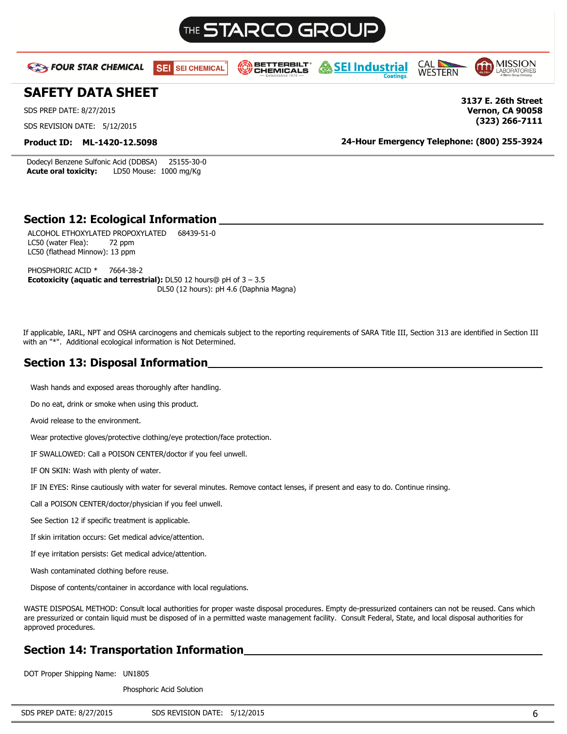

Dodecyl Benzene Sulfonic Acid (DDBSA) 25155-30-0 **Acute oral toxicity:** LD50 Mouse: 1000 mg/Kg

## **Section 12: Ecological Information**

ALCOHOL ETHOXYLATED PROPOXYLATED 68439-51-0 LC50 (water Flea): 72 ppm LC50 (flathead Minnow): 13 ppm

PHOSPHORIC ACID \* 7664-38-2 **Ecotoxicity (aquatic and terrestrial):** DL50 12 hours@ pH of 3 – 3.5 DL50 (12 hours): pH 4.6 (Daphnia Magna)

If applicable, IARL, NPT and OSHA carcinogens and chemicals subject to the reporting requirements of SARA Title III, Section 313 are identified in Section III with an "\*". Additional ecological information is Not Determined.

## **Section 13: Disposal Information**

Wash hands and exposed areas thoroughly after handling.

Do no eat, drink or smoke when using this product.

Avoid release to the environment.

Wear protective gloves/protective clothing/eye protection/face protection.

IF SWALLOWED: Call a POISON CENTER/doctor if you feel unwell.

IF ON SKIN: Wash with plenty of water.

IF IN EYES: Rinse cautiously with water for several minutes. Remove contact lenses, if present and easy to do. Continue rinsing.

Call a POISON CENTER/doctor/physician if you feel unwell.

See Section 12 if specific treatment is applicable.

If skin irritation occurs: Get medical advice/attention.

If eye irritation persists: Get medical advice/attention.

Wash contaminated clothing before reuse.

Dispose of contents/container in accordance with local regulations.

WASTE DISPOSAL METHOD: Consult local authorities for proper waste disposal procedures. Empty de-pressurized containers can not be reused. Cans which are pressurized or contain liquid must be disposed of in a permitted waste management facility. Consult Federal, State, and local disposal authorities for approved procedures.

## **Section 14: Transportation Information**

DOT Proper Shipping Name: UN1805

Phosphoric Acid Solution

|--|